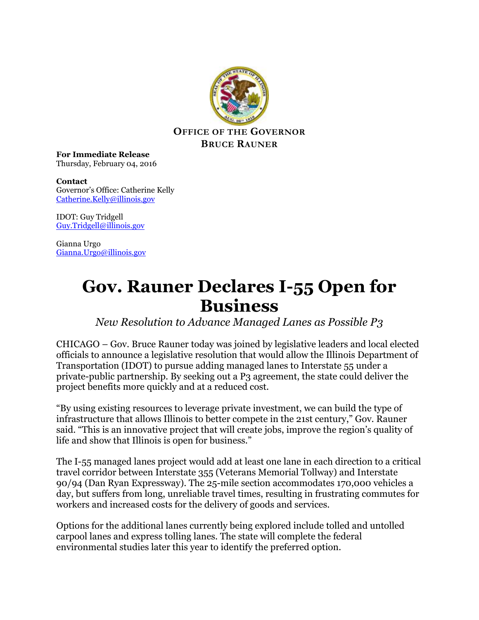

**For Immediate Release** Thursday, February 04, 2016

**Contact** Governor's Office: Catherine Kelly [Catherine.Kelly@illinois.gov](mailto:Catherine.Kelly@illinois.gov)

IDOT: Guy Tridgell [Guy.Tridgell@illinois.gov](mailto:Guy.Tridgell@illinois.gov)

Gianna Urgo [Gianna.Urgo@illinois.gov](mailto:Gianna.Urgo@illinois.gov)

## **Gov. Rauner Declares I-55 Open for Business**

*New Resolution to Advance Managed Lanes as Possible P3*

CHICAGO – Gov. Bruce Rauner today was joined by legislative leaders and local elected officials to announce a legislative resolution that would allow the Illinois Department of Transportation (IDOT) to pursue adding managed lanes to Interstate 55 under a private-public partnership. By seeking out a P3 agreement, the state could deliver the project benefits more quickly and at a reduced cost.

"By using existing resources to leverage private investment, we can build the type of infrastructure that allows Illinois to better compete in the 21st century," Gov. Rauner said. "This is an innovative project that will create jobs, improve the region's quality of life and show that Illinois is open for business."

The I-55 managed lanes project would add at least one lane in each direction to a critical travel corridor between Interstate 355 (Veterans Memorial Tollway) and Interstate 90/94 (Dan Ryan Expressway). The 25-mile section accommodates 170,000 vehicles a day, but suffers from long, unreliable travel times, resulting in frustrating commutes for workers and increased costs for the delivery of goods and services.

Options for the additional lanes currently being explored include tolled and untolled carpool lanes and express tolling lanes. The state will complete the federal environmental studies later this year to identify the preferred option.